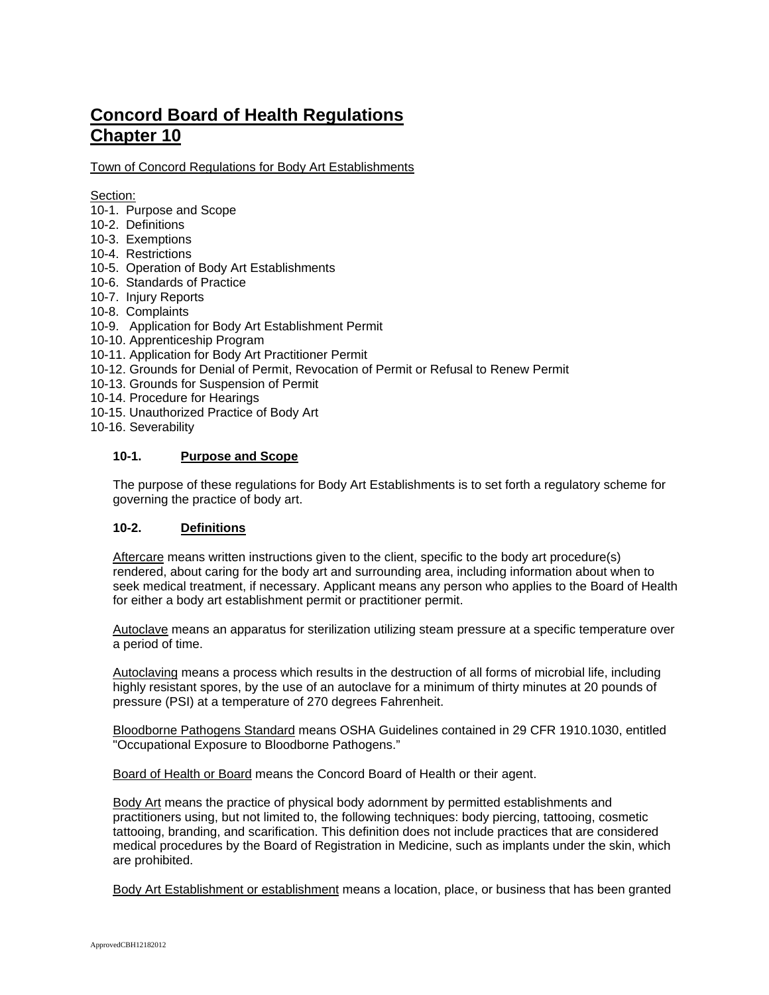# **Concord Board of Health Regulations Chapter 10**

Town of Concord Regulations for Body Art Establishments

## Section:

- 10-1. Purpose and Scope
- 10-2. Definitions
- 10-3. Exemptions
- 10-4. Restrictions
- 10-5. Operation of Body Art Establishments
- 10-6. Standards of Practice
- 10-7. Injury Reports
- 10-8. Complaints
- 10-9. Application for Body Art Establishment Permit
- 10-10. Apprenticeship Program
- 10-11. Application for Body Art Practitioner Permit
- 10-12. Grounds for Denial of Permit, Revocation of Permit or Refusal to Renew Permit
- 10-13. Grounds for Suspension of Permit
- 10-14. Procedure for Hearings
- 10-15. Unauthorized Practice of Body Art
- 10-16. Severability

## **10-1. Purpose and Scope**

The purpose of these regulations for Body Art Establishments is to set forth a regulatory scheme for governing the practice of body art.

## **10-2. Definitions**

Aftercare means written instructions given to the client, specific to the body art procedure(s) rendered, about caring for the body art and surrounding area, including information about when to seek medical treatment, if necessary. Applicant means any person who applies to the Board of Health for either a body art establishment permit or practitioner permit.

Autoclave means an apparatus for sterilization utilizing steam pressure at a specific temperature over a period of time.

Autoclaving means a process which results in the destruction of all forms of microbial life, including highly resistant spores, by the use of an autoclave for a minimum of thirty minutes at 20 pounds of pressure (PSI) at a temperature of 270 degrees Fahrenheit.

Bloodborne Pathogens Standard means OSHA Guidelines contained in 29 CFR 1910.1030, entitled "Occupational Exposure to Bloodborne Pathogens."

Board of Health or Board means the Concord Board of Health or their agent.

Body Art means the practice of physical body adornment by permitted establishments and practitioners using, but not limited to, the following techniques: body piercing, tattooing, cosmetic tattooing, branding, and scarification. This definition does not include practices that are considered medical procedures by the Board of Registration in Medicine, such as implants under the skin, which are prohibited.

Body Art Establishment or establishment means a location, place, or business that has been granted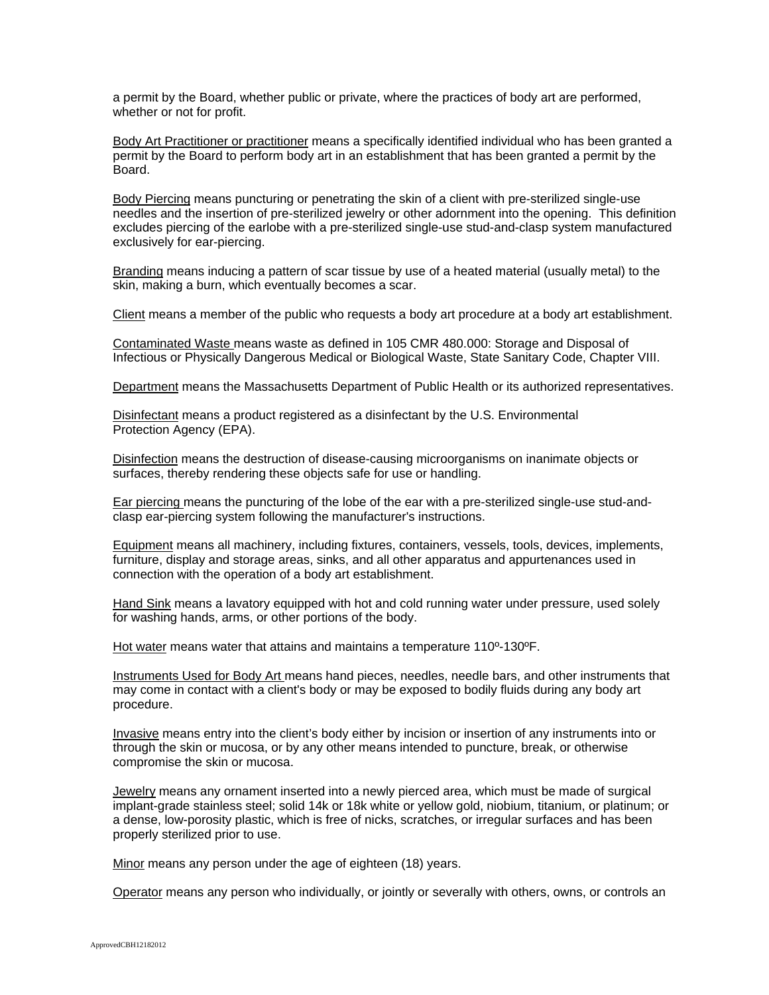a permit by the Board, whether public or private, where the practices of body art are performed, whether or not for profit.

Body Art Practitioner or practitioner means a specifically identified individual who has been granted a permit by the Board to perform body art in an establishment that has been granted a permit by the Board.

Body Piercing means puncturing or penetrating the skin of a client with pre-sterilized single-use needles and the insertion of pre-sterilized jewelry or other adornment into the opening. This definition excludes piercing of the earlobe with a pre-sterilized single-use stud-and-clasp system manufactured exclusively for ear-piercing.

Branding means inducing a pattern of scar tissue by use of a heated material (usually metal) to the skin, making a burn, which eventually becomes a scar.

Client means a member of the public who requests a body art procedure at a body art establishment.

Contaminated Waste means waste as defined in 105 CMR 480.000: Storage and Disposal of Infectious or Physically Dangerous Medical or Biological Waste, State Sanitary Code, Chapter VIII.

Department means the Massachusetts Department of Public Health or its authorized representatives.

Disinfectant means a product registered as a disinfectant by the U.S. Environmental Protection Agency (EPA).

Disinfection means the destruction of disease-causing microorganisms on inanimate objects or surfaces, thereby rendering these objects safe for use or handling.

Ear piercing means the puncturing of the lobe of the ear with a pre-sterilized single-use stud-andclasp ear-piercing system following the manufacturer's instructions.

Equipment means all machinery, including fixtures, containers, vessels, tools, devices, implements, furniture, display and storage areas, sinks, and all other apparatus and appurtenances used in connection with the operation of a body art establishment.

Hand Sink means a lavatory equipped with hot and cold running water under pressure, used solely for washing hands, arms, or other portions of the body.

Hot water means water that attains and maintains a temperature 110º-130ºF.

Instruments Used for Body Art means hand pieces, needles, needle bars, and other instruments that may come in contact with a client's body or may be exposed to bodily fluids during any body art procedure.

Invasive means entry into the client's body either by incision or insertion of any instruments into or through the skin or mucosa, or by any other means intended to puncture, break, or otherwise compromise the skin or mucosa.

Jewelry means any ornament inserted into a newly pierced area, which must be made of surgical implant-grade stainless steel; solid 14k or 18k white or yellow gold, niobium, titanium, or platinum; or a dense, low-porosity plastic, which is free of nicks, scratches, or irregular surfaces and has been properly sterilized prior to use.

Minor means any person under the age of eighteen (18) years.

Operator means any person who individually, or jointly or severally with others, owns, or controls an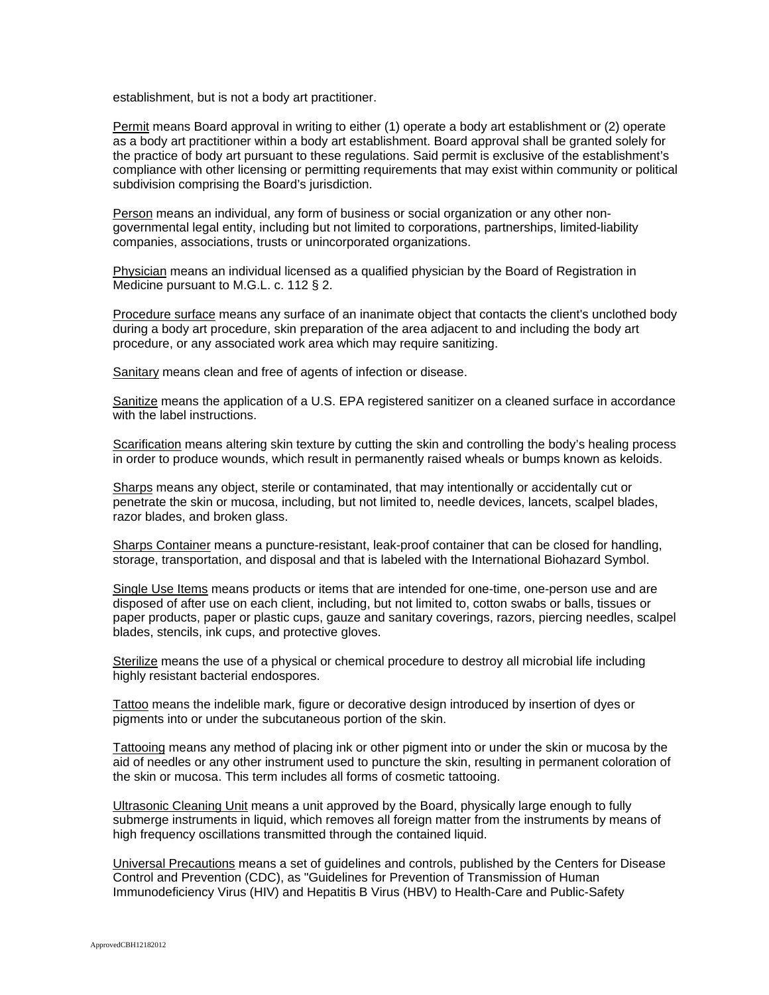establishment, but is not a body art practitioner.

Permit means Board approval in writing to either (1) operate a body art establishment or (2) operate as a body art practitioner within a body art establishment. Board approval shall be granted solely for the practice of body art pursuant to these regulations. Said permit is exclusive of the establishment's compliance with other licensing or permitting requirements that may exist within community or political subdivision comprising the Board's jurisdiction.

Person means an individual, any form of business or social organization or any other nongovernmental legal entity, including but not limited to corporations, partnerships, limited-liability companies, associations, trusts or unincorporated organizations.

Physician means an individual licensed as a qualified physician by the Board of Registration in Medicine pursuant to M.G.L. c. 112 § 2.

Procedure surface means any surface of an inanimate object that contacts the client's unclothed body during a body art procedure, skin preparation of the area adjacent to and including the body art procedure, or any associated work area which may require sanitizing.

Sanitary means clean and free of agents of infection or disease.

Sanitize means the application of a U.S. EPA registered sanitizer on a cleaned surface in accordance with the label instructions.

Scarification means altering skin texture by cutting the skin and controlling the body's healing process in order to produce wounds, which result in permanently raised wheals or bumps known as keloids.

Sharps means any object, sterile or contaminated, that may intentionally or accidentally cut or penetrate the skin or mucosa, including, but not limited to, needle devices, lancets, scalpel blades, razor blades, and broken glass.

Sharps Container means a puncture-resistant, leak-proof container that can be closed for handling, storage, transportation, and disposal and that is labeled with the International Biohazard Symbol.

Single Use Items means products or items that are intended for one-time, one-person use and are disposed of after use on each client, including, but not limited to, cotton swabs or balls, tissues or paper products, paper or plastic cups, gauze and sanitary coverings, razors, piercing needles, scalpel blades, stencils, ink cups, and protective gloves.

Sterilize means the use of a physical or chemical procedure to destroy all microbial life including highly resistant bacterial endospores.

Tattoo means the indelible mark, figure or decorative design introduced by insertion of dyes or pigments into or under the subcutaneous portion of the skin.

Tattooing means any method of placing ink or other pigment into or under the skin or mucosa by the aid of needles or any other instrument used to puncture the skin, resulting in permanent coloration of the skin or mucosa. This term includes all forms of cosmetic tattooing.

Ultrasonic Cleaning Unit means a unit approved by the Board, physically large enough to fully submerge instruments in liquid, which removes all foreign matter from the instruments by means of high frequency oscillations transmitted through the contained liquid.

Universal Precautions means a set of guidelines and controls, published by the Centers for Disease Control and Prevention (CDC), as "Guidelines for Prevention of Transmission of Human Immunodeficiency Virus (HIV) and Hepatitis B Virus (HBV) to Health-Care and Public-Safety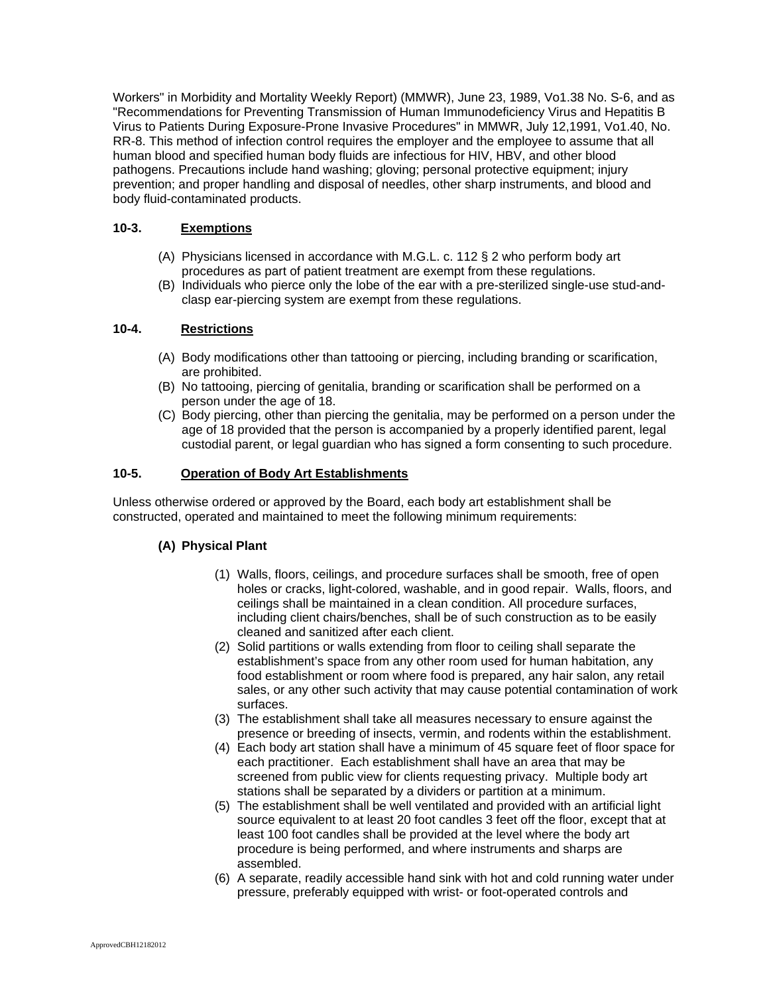Workers" in Morbidity and Mortality Weekly Report) (MMWR), June 23, 1989, Vo1.38 No. S-6, and as "Recommendations for Preventing Transmission of Human Immunodeficiency Virus and Hepatitis B Virus to Patients During Exposure-Prone Invasive Procedures" in MMWR, July 12,1991, Vo1.40, No. RR-8. This method of infection control requires the employer and the employee to assume that all human blood and specified human body fluids are infectious for HIV, HBV, and other blood pathogens. Precautions include hand washing; gloving; personal protective equipment; injury prevention; and proper handling and disposal of needles, other sharp instruments, and blood and body fluid-contaminated products.

# **10-3. Exemptions**

- (A) Physicians licensed in accordance with M.G.L. c. 112 § 2 who perform body art procedures as part of patient treatment are exempt from these regulations.
- (B) Individuals who pierce only the lobe of the ear with a pre-sterilized single-use stud-andclasp ear-piercing system are exempt from these regulations.

## **10-4. Restrictions**

- (A) Body modifications other than tattooing or piercing, including branding or scarification, are prohibited.
- (B) No tattooing, piercing of genitalia, branding or scarification shall be performed on a person under the age of 18.
- (C) Body piercing, other than piercing the genitalia, may be performed on a person under the age of 18 provided that the person is accompanied by a properly identified parent, legal custodial parent, or legal guardian who has signed a form consenting to such procedure.

# **10-5. Operation of Body Art Establishments**

Unless otherwise ordered or approved by the Board, each body art establishment shall be constructed, operated and maintained to meet the following minimum requirements:

## **(A) Physical Plant**

- (1) Walls, floors, ceilings, and procedure surfaces shall be smooth, free of open holes or cracks, light-colored, washable, and in good repair. Walls, floors, and ceilings shall be maintained in a clean condition. All procedure surfaces, including client chairs/benches, shall be of such construction as to be easily cleaned and sanitized after each client.
- (2) Solid partitions or walls extending from floor to ceiling shall separate the establishment's space from any other room used for human habitation, any food establishment or room where food is prepared, any hair salon, any retail sales, or any other such activity that may cause potential contamination of work surfaces.
- (3) The establishment shall take all measures necessary to ensure against the presence or breeding of insects, vermin, and rodents within the establishment.
- (4) Each body art station shall have a minimum of 45 square feet of floor space for each practitioner. Each establishment shall have an area that may be screened from public view for clients requesting privacy. Multiple body art stations shall be separated by a dividers or partition at a minimum.
- (5) The establishment shall be well ventilated and provided with an artificial light source equivalent to at least 20 foot candles 3 feet off the floor, except that at least 100 foot candles shall be provided at the level where the body art procedure is being performed, and where instruments and sharps are assembled.
- (6) A separate, readily accessible hand sink with hot and cold running water under pressure, preferably equipped with wrist- or foot-operated controls and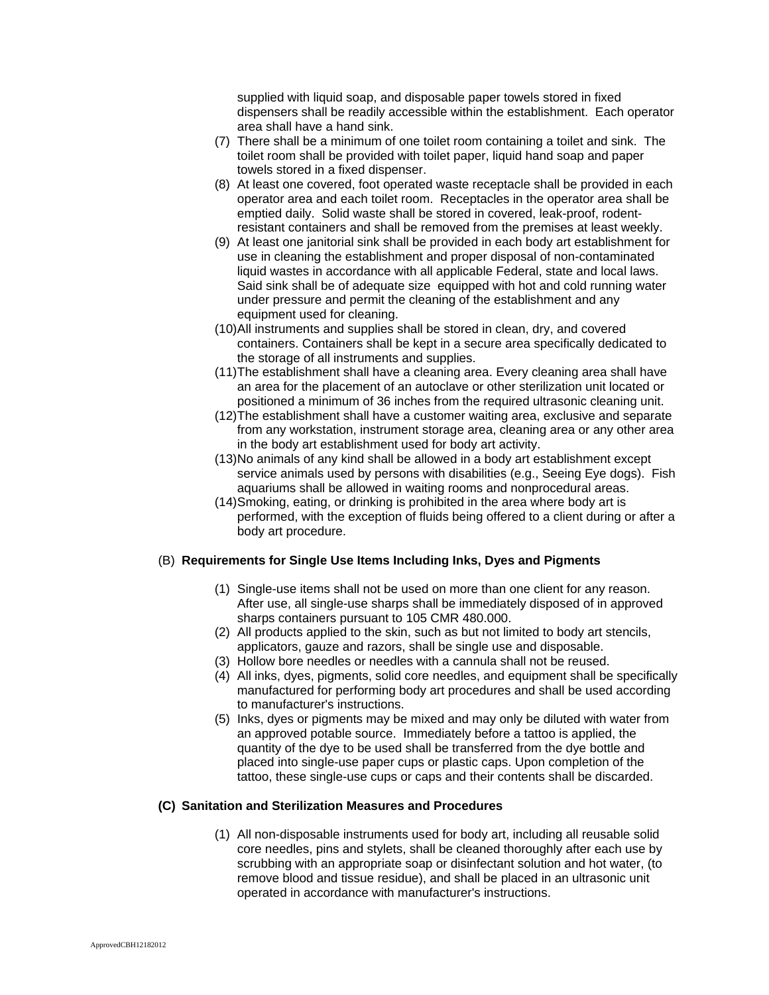supplied with liquid soap, and disposable paper towels stored in fixed dispensers shall be readily accessible within the establishment. Each operator area shall have a hand sink.

- (7) There shall be a minimum of one toilet room containing a toilet and sink. The toilet room shall be provided with toilet paper, liquid hand soap and paper towels stored in a fixed dispenser.
- (8) At least one covered, foot operated waste receptacle shall be provided in each operator area and each toilet room. Receptacles in the operator area shall be emptied daily. Solid waste shall be stored in covered, leak-proof, rodentresistant containers and shall be removed from the premises at least weekly.
- (9) At least one janitorial sink shall be provided in each body art establishment for use in cleaning the establishment and proper disposal of non-contaminated liquid wastes in accordance with all applicable Federal, state and local laws. Said sink shall be of adequate size equipped with hot and cold running water under pressure and permit the cleaning of the establishment and any equipment used for cleaning.
- (10)All instruments and supplies shall be stored in clean, dry, and covered containers. Containers shall be kept in a secure area specifically dedicated to the storage of all instruments and supplies.
- (11)The establishment shall have a cleaning area. Every cleaning area shall have an area for the placement of an autoclave or other sterilization unit located or positioned a minimum of 36 inches from the required ultrasonic cleaning unit.
- (12)The establishment shall have a customer waiting area, exclusive and separate from any workstation, instrument storage area, cleaning area or any other area in the body art establishment used for body art activity.
- (13)No animals of any kind shall be allowed in a body art establishment except service animals used by persons with disabilities (e.g., Seeing Eye dogs). Fish aquariums shall be allowed in waiting rooms and nonprocedural areas.
- (14)Smoking, eating, or drinking is prohibited in the area where body art is performed, with the exception of fluids being offered to a client during or after a body art procedure.

### (B) **Requirements for Single Use Items Including Inks, Dyes and Pigments**

- (1) Single-use items shall not be used on more than one client for any reason. After use, all single-use sharps shall be immediately disposed of in approved sharps containers pursuant to 105 CMR 480.000.
- (2) All products applied to the skin, such as but not limited to body art stencils, applicators, gauze and razors, shall be single use and disposable.
- (3) Hollow bore needles or needles with a cannula shall not be reused.
- (4) All inks, dyes, pigments, solid core needles, and equipment shall be specifically manufactured for performing body art procedures and shall be used according to manufacturer's instructions.
- (5) Inks, dyes or pigments may be mixed and may only be diluted with water from an approved potable source. Immediately before a tattoo is applied, the quantity of the dye to be used shall be transferred from the dye bottle and placed into single-use paper cups or plastic caps. Upon completion of the tattoo, these single-use cups or caps and their contents shall be discarded.

## **(C) Sanitation and Sterilization Measures and Procedures**

(1) All non-disposable instruments used for body art, including all reusable solid core needles, pins and stylets, shall be cleaned thoroughly after each use by scrubbing with an appropriate soap or disinfectant solution and hot water, (to remove blood and tissue residue), and shall be placed in an ultrasonic unit operated in accordance with manufacturer's instructions.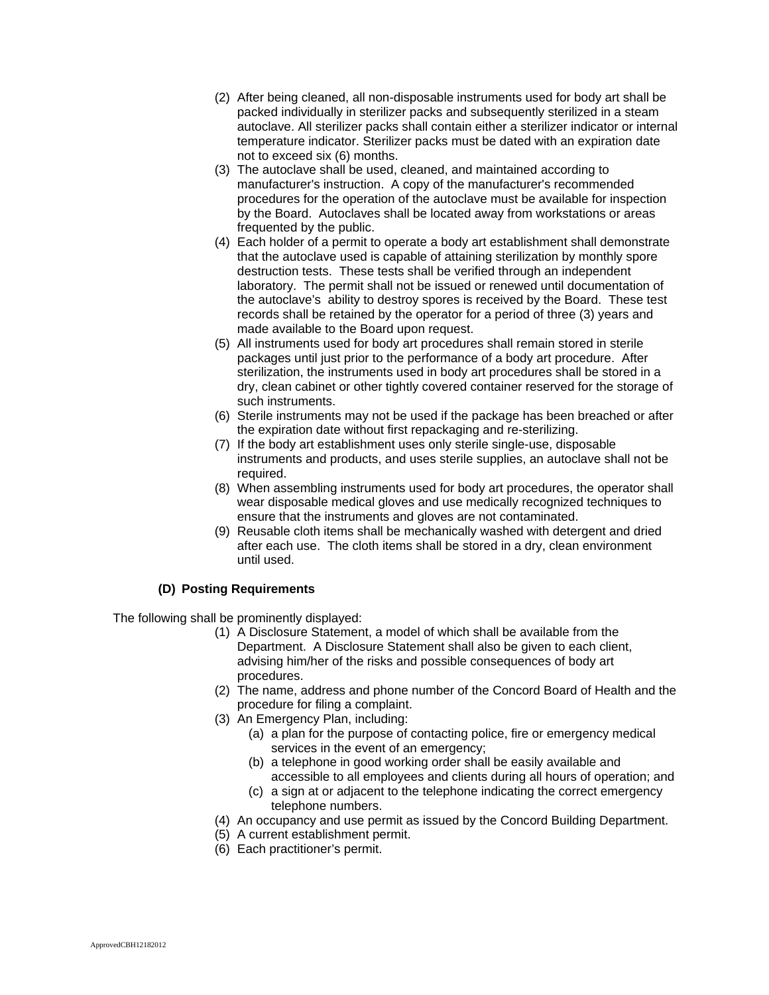- (2) After being cleaned, all non-disposable instruments used for body art shall be packed individually in sterilizer packs and subsequently sterilized in a steam autoclave. All sterilizer packs shall contain either a sterilizer indicator or internal temperature indicator. Sterilizer packs must be dated with an expiration date not to exceed six (6) months.
- (3) The autoclave shall be used, cleaned, and maintained according to manufacturer's instruction. A copy of the manufacturer's recommended procedures for the operation of the autoclave must be available for inspection by the Board. Autoclaves shall be located away from workstations or areas frequented by the public.
- (4) Each holder of a permit to operate a body art establishment shall demonstrate that the autoclave used is capable of attaining sterilization by monthly spore destruction tests. These tests shall be verified through an independent laboratory. The permit shall not be issued or renewed until documentation of the autoclave's ability to destroy spores is received by the Board. These test records shall be retained by the operator for a period of three (3) years and made available to the Board upon request.
- (5) All instruments used for body art procedures shall remain stored in sterile packages until just prior to the performance of a body art procedure. After sterilization, the instruments used in body art procedures shall be stored in a dry, clean cabinet or other tightly covered container reserved for the storage of such instruments.
- (6) Sterile instruments may not be used if the package has been breached or after the expiration date without first repackaging and re-sterilizing.
- (7) If the body art establishment uses only sterile single-use, disposable instruments and products, and uses sterile supplies, an autoclave shall not be required.
- (8) When assembling instruments used for body art procedures, the operator shall wear disposable medical gloves and use medically recognized techniques to ensure that the instruments and gloves are not contaminated.
- (9) Reusable cloth items shall be mechanically washed with detergent and dried after each use. The cloth items shall be stored in a dry, clean environment until used.

## **(D) Posting Requirements**

The following shall be prominently displayed:

- (1) A Disclosure Statement, a model of which shall be available from the Department. A Disclosure Statement shall also be given to each client, advising him/her of the risks and possible consequences of body art procedures.
- (2) The name, address and phone number of the Concord Board of Health and the procedure for filing a complaint.
- (3) An Emergency Plan, including:
	- (a) a plan for the purpose of contacting police, fire or emergency medical services in the event of an emergency;
	- (b) a telephone in good working order shall be easily available and accessible to all employees and clients during all hours of operation; and
	- (c) a sign at or adjacent to the telephone indicating the correct emergency telephone numbers.
- (4) An occupancy and use permit as issued by the Concord Building Department.
- (5) A current establishment permit.
- (6) Each practitioner's permit.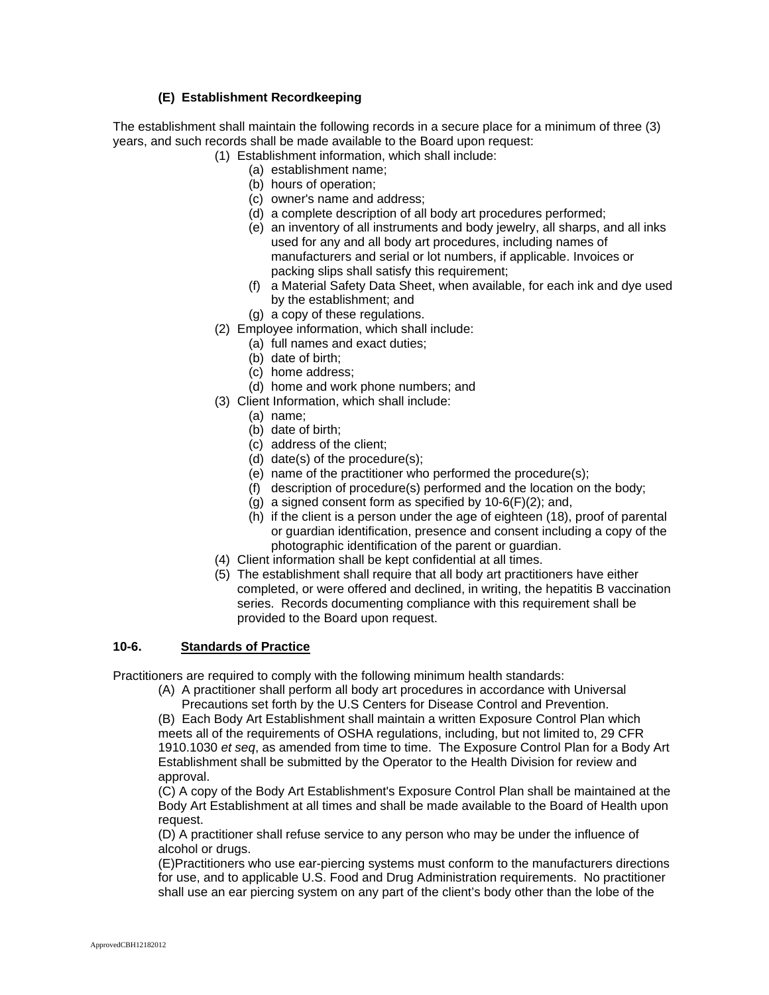## **(E) Establishment Recordkeeping**

The establishment shall maintain the following records in a secure place for a minimum of three (3) years, and such records shall be made available to the Board upon request:

- (1) Establishment information, which shall include:
	- (a) establishment name;
	- (b) hours of operation;
	- (c) owner's name and address;
	- (d) a complete description of all body art procedures performed;
	- (e) an inventory of all instruments and body jewelry, all sharps, and all inks used for any and all body art procedures, including names of manufacturers and serial or lot numbers, if applicable. Invoices or packing slips shall satisfy this requirement;
	- (f) a Material Safety Data Sheet, when available, for each ink and dye used by the establishment; and
	- (g) a copy of these regulations.
- (2) Employee information, which shall include:
	- (a) full names and exact duties;
	- (b) date of birth;
	- (c) home address;
	- (d) home and work phone numbers; and
- (3) Client Information, which shall include:
	- (a) name;
	- (b) date of birth;
	- (c) address of the client;
	- (d) date(s) of the procedure(s);
	- (e) name of the practitioner who performed the procedure(s);
	- (f) description of procedure(s) performed and the location on the body;
	- (g) a signed consent form as specified by  $10-6(F)(2)$ ; and,
	- (h) if the client is a person under the age of eighteen (18), proof of parental or guardian identification, presence and consent including a copy of the photographic identification of the parent or guardian.
- (4) Client information shall be kept confidential at all times.
- (5) The establishment shall require that all body art practitioners have either completed, or were offered and declined, in writing, the hepatitis B vaccination series. Records documenting compliance with this requirement shall be provided to the Board upon request.

### **10-6. Standards of Practice**

Practitioners are required to comply with the following minimum health standards:

(A) A practitioner shall perform all body art procedures in accordance with Universal Precautions set forth by the U.S Centers for Disease Control and Prevention.

(B) Each Body Art Establishment shall maintain a written Exposure Control Plan which meets all of the requirements of OSHA regulations, including, but not limited to, 29 CFR 1910.1030 *et seq*, as amended from time to time. The Exposure Control Plan for a Body Art Establishment shall be submitted by the Operator to the Health Division for review and approval.

(C) A copy of the Body Art Establishment's Exposure Control Plan shall be maintained at the Body Art Establishment at all times and shall be made available to the Board of Health upon request.

(D) A practitioner shall refuse service to any person who may be under the influence of alcohol or drugs.

(E)Practitioners who use ear-piercing systems must conform to the manufacturers directions for use, and to applicable U.S. Food and Drug Administration requirements. No practitioner shall use an ear piercing system on any part of the client's body other than the lobe of the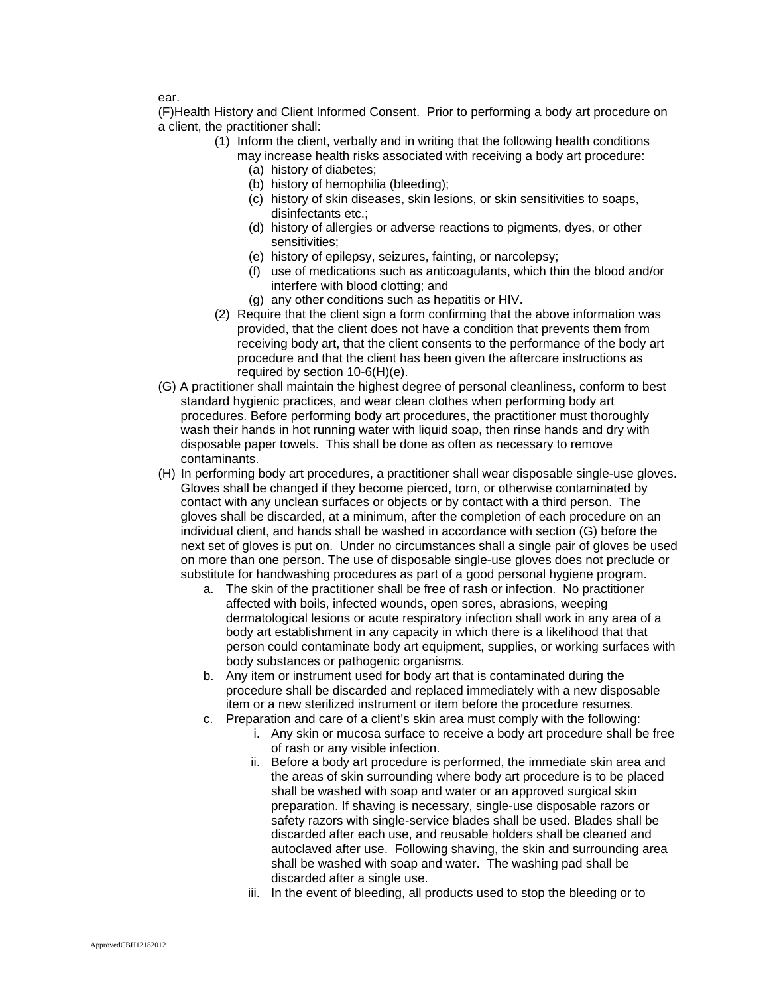ear.

(F)Health History and Client Informed Consent. Prior to performing a body art procedure on a client, the practitioner shall:

- (1) Inform the client, verbally and in writing that the following health conditions
	- may increase health risks associated with receiving a body art procedure:
		- (a) history of diabetes;
		- (b) history of hemophilia (bleeding);
		- (c) history of skin diseases, skin lesions, or skin sensitivities to soaps, disinfectants etc.;
		- (d) history of allergies or adverse reactions to pigments, dyes, or other sensitivities;
		- (e) history of epilepsy, seizures, fainting, or narcolepsy;
		- (f) use of medications such as anticoagulants, which thin the blood and/or interfere with blood clotting; and
		- (g) any other conditions such as hepatitis or HIV.
	- (2) Require that the client sign a form confirming that the above information was provided, that the client does not have a condition that prevents them from receiving body art, that the client consents to the performance of the body art procedure and that the client has been given the aftercare instructions as required by section 10-6(H)(e).
- (G) A practitioner shall maintain the highest degree of personal cleanliness, conform to best standard hygienic practices, and wear clean clothes when performing body art procedures. Before performing body art procedures, the practitioner must thoroughly wash their hands in hot running water with liquid soap, then rinse hands and dry with disposable paper towels. This shall be done as often as necessary to remove contaminants.
- (H) In performing body art procedures, a practitioner shall wear disposable single-use gloves. Gloves shall be changed if they become pierced, torn, or otherwise contaminated by contact with any unclean surfaces or objects or by contact with a third person. The gloves shall be discarded, at a minimum, after the completion of each procedure on an individual client, and hands shall be washed in accordance with section (G) before the next set of gloves is put on. Under no circumstances shall a single pair of gloves be used on more than one person. The use of disposable single-use gloves does not preclude or substitute for handwashing procedures as part of a good personal hygiene program.
	- a. The skin of the practitioner shall be free of rash or infection. No practitioner affected with boils, infected wounds, open sores, abrasions, weeping dermatological lesions or acute respiratory infection shall work in any area of a body art establishment in any capacity in which there is a likelihood that that person could contaminate body art equipment, supplies, or working surfaces with body substances or pathogenic organisms.
	- b. Any item or instrument used for body art that is contaminated during the procedure shall be discarded and replaced immediately with a new disposable item or a new sterilized instrument or item before the procedure resumes.
	- c. Preparation and care of a client's skin area must comply with the following:
		- i. Any skin or mucosa surface to receive a body art procedure shall be free of rash or any visible infection.
		- ii. Before a body art procedure is performed, the immediate skin area and the areas of skin surrounding where body art procedure is to be placed shall be washed with soap and water or an approved surgical skin preparation. If shaving is necessary, single-use disposable razors or safety razors with single-service blades shall be used. Blades shall be discarded after each use, and reusable holders shall be cleaned and autoclaved after use. Following shaving, the skin and surrounding area shall be washed with soap and water. The washing pad shall be discarded after a single use.
		- iii. In the event of bleeding, all products used to stop the bleeding or to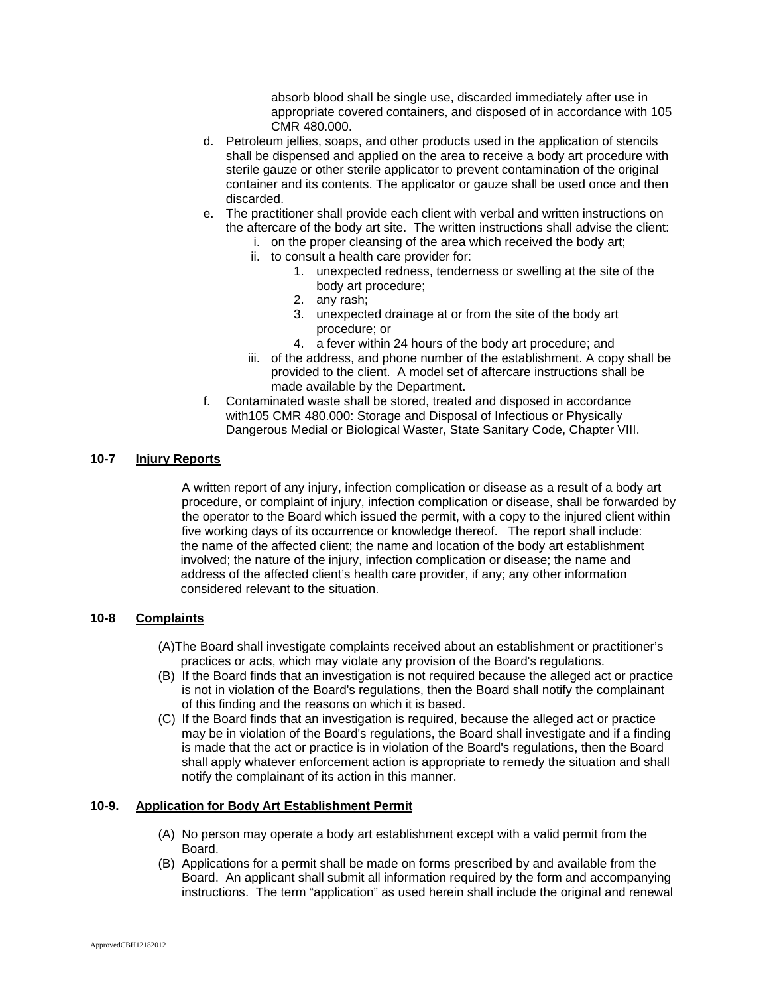absorb blood shall be single use, discarded immediately after use in appropriate covered containers, and disposed of in accordance with 105 CMR 480.000.

- d. Petroleum jellies, soaps, and other products used in the application of stencils shall be dispensed and applied on the area to receive a body art procedure with sterile gauze or other sterile applicator to prevent contamination of the original container and its contents. The applicator or gauze shall be used once and then discarded.
- e. The practitioner shall provide each client with verbal and written instructions on the aftercare of the body art site. The written instructions shall advise the client:
	- i. on the proper cleansing of the area which received the body art;
	- ii. to consult a health care provider for:
		- 1. unexpected redness, tenderness or swelling at the site of the body art procedure;
		- 2. any rash;
		- 3. unexpected drainage at or from the site of the body art procedure; or
		- 4. a fever within 24 hours of the body art procedure; and
	- iii. of the address, and phone number of the establishment. A copy shall be provided to the client. A model set of aftercare instructions shall be made available by the Department.
- f. Contaminated waste shall be stored, treated and disposed in accordance with105 CMR 480.000: Storage and Disposal of Infectious or Physically Dangerous Medial or Biological Waster, State Sanitary Code, Chapter VIII.

### **10-7 Injury Reports**

A written report of any injury, infection complication or disease as a result of a body art procedure, or complaint of injury, infection complication or disease, shall be forwarded by the operator to the Board which issued the permit, with a copy to the injured client within five working days of its occurrence or knowledge thereof. The report shall include: the name of the affected client; the name and location of the body art establishment involved; the nature of the injury, infection complication or disease; the name and address of the affected client's health care provider, if any; any other information considered relevant to the situation.

### **10-8 Complaints**

- (A)The Board shall investigate complaints received about an establishment or practitioner's practices or acts, which may violate any provision of the Board's regulations.
- (B) If the Board finds that an investigation is not required because the alleged act or practice is not in violation of the Board's regulations, then the Board shall notify the complainant of this finding and the reasons on which it is based.
- (C) If the Board finds that an investigation is required, because the alleged act or practice may be in violation of the Board's regulations, the Board shall investigate and if a finding is made that the act or practice is in violation of the Board's regulations, then the Board shall apply whatever enforcement action is appropriate to remedy the situation and shall notify the complainant of its action in this manner.

### **10-9. Application for Body Art Establishment Permit**

- (A) No person may operate a body art establishment except with a valid permit from the Board.
- (B) Applications for a permit shall be made on forms prescribed by and available from the Board. An applicant shall submit all information required by the form and accompanying instructions. The term "application" as used herein shall include the original and renewal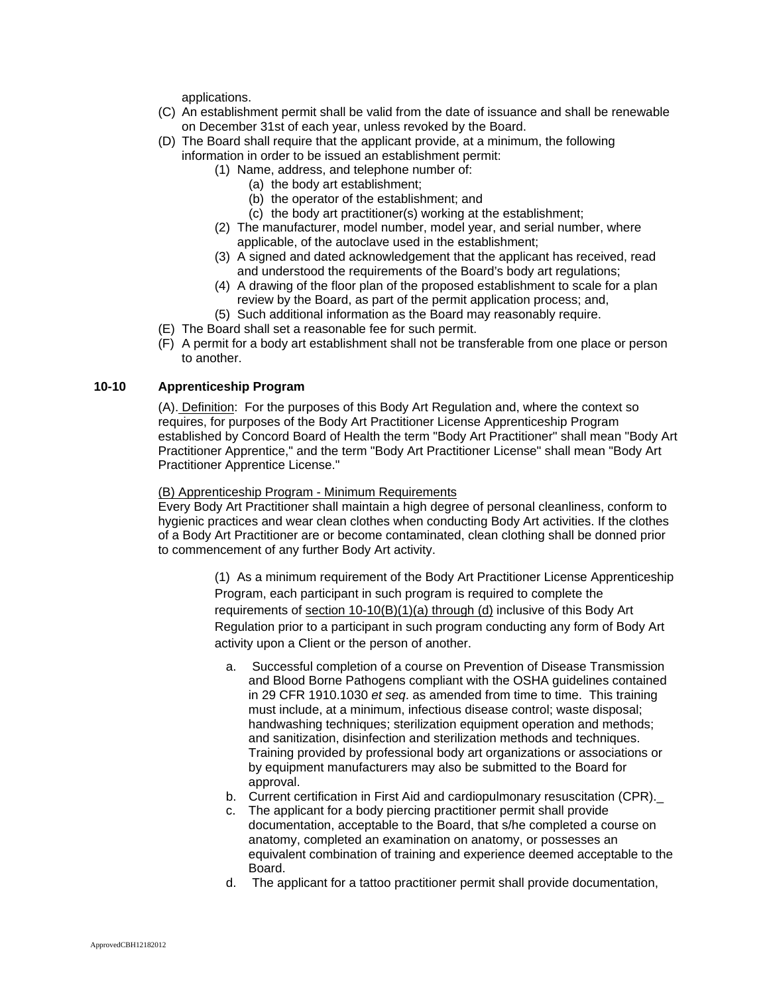applications.

- (C) An establishment permit shall be valid from the date of issuance and shall be renewable on December 31st of each year, unless revoked by the Board.
- (D) The Board shall require that the applicant provide, at a minimum, the following information in order to be issued an establishment permit:
	- (1) Name, address, and telephone number of:
		- (a) the body art establishment;
		- (b) the operator of the establishment; and
		- (c) the body art practitioner(s) working at the establishment;
	- (2) The manufacturer, model number, model year, and serial number, where applicable, of the autoclave used in the establishment;
	- (3) A signed and dated acknowledgement that the applicant has received, read and understood the requirements of the Board's body art regulations;
	- (4) A drawing of the floor plan of the proposed establishment to scale for a plan review by the Board, as part of the permit application process; and,
	- (5) Such additional information as the Board may reasonably require.
- (E) The Board shall set a reasonable fee for such permit.
- (F) A permit for a body art establishment shall not be transferable from one place or person to another.

# **10-10 Apprenticeship Program**

(A)[. Definition:](http://www.cambridgepublichealth.org/services/regulatory-activities/body-art/body-art-regulations.php#VI) For the purposes of this Body Art Regulation and, where the context so requires, for purposes of the Body Art Practitioner License Apprenticeship Program established by Concord Board of Health the term "Body Art Practitioner" shall mean "Body Art Practitioner Apprentice," and the term "Body Art Practitioner License" shall mean "Body Art Practitioner Apprentice License."

#### [\(B\) Apprenticeship Program - Minimum Requirements](http://www.cambridgepublichealth.org/services/regulatory-activities/body-art/body-art-regulations.php#VI)

Every Body Art Practitioner shall maintain a high degree of personal cleanliness, conform to hygienic practices and wear clean clothes when conducting Body Art activities. If the clothes of a Body Art Practitioner are or become contaminated, clean clothing shall be donned prior to commencement of any further Body Art activity.

> (1) As a minimum requirement of the Body Art Practitioner License Apprenticeship Program, each participant in such program is required to complete the requirements of [section 10-10\(B\)\(1\)\(a\) through \(d\)](http://www.cambridgepublichealth.org/services/regulatory-activities/body-art/body-art-regulations.php#5.6) inclusive of this Body Art Regulation prior to a participant in such program conducting any form of Body Art activity upon a Client or the person of another.

- a. Successful completion of a course on Prevention of Disease Transmission and Blood Borne Pathogens compliant with the OSHA guidelines contained in 29 CFR 1910.1030 *et seq*. as amended from time to time. This training must include, at a minimum, infectious disease control; waste disposal; handwashing techniques; sterilization equipment operation and methods; and sanitization, disinfection and sterilization methods and techniques. Training provided by professional body art organizations or associations or by equipment manufacturers may also be submitted to the Board for approval.
- b. Current certification in First Aid and cardiopulmonary resuscitation (CPR).
- c. The applicant for a body piercing practitioner permit shall provide documentation, acceptable to the Board, that s/he completed a course on anatomy, completed an examination on anatomy, or possesses an equivalent combination of training and experience deemed acceptable to the Board.
- d. The applicant for a tattoo practitioner permit shall provide documentation,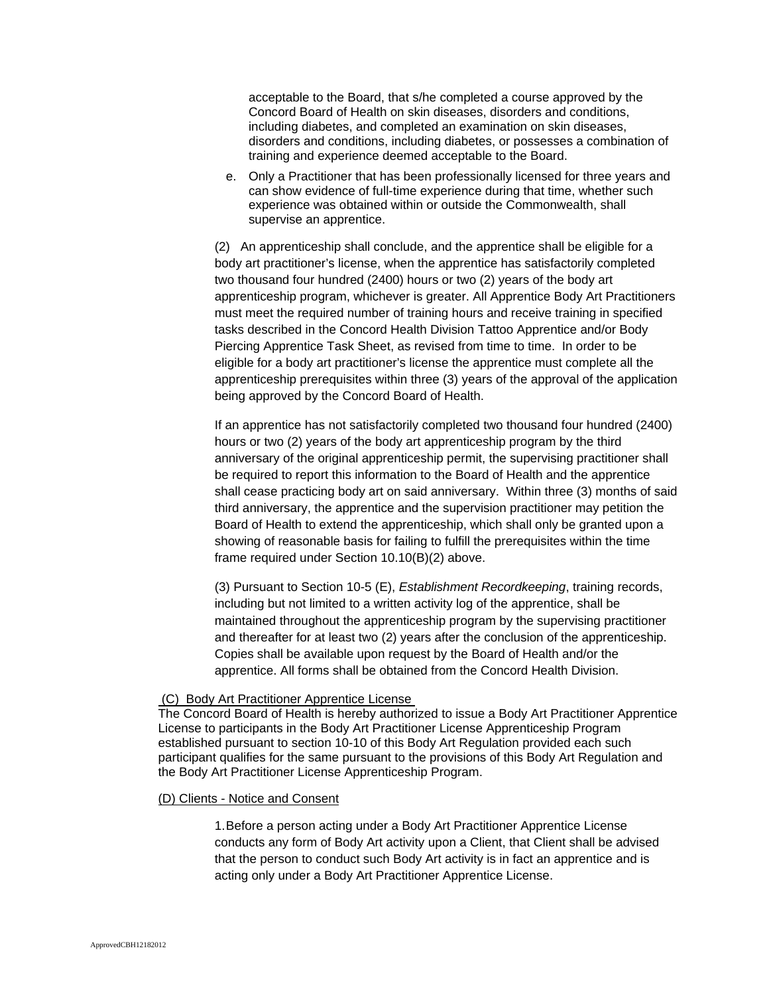acceptable to the Board, that s/he completed a course approved by the Concord Board of Health on skin diseases, disorders and conditions, including diabetes, and completed an examination on skin diseases, disorders and conditions, including diabetes, or possesses a combination of training and experience deemed acceptable to the Board.

e. Only a Practitioner that has been professionally licensed for three years and can show evidence of full-time experience during that time, whether such experience was obtained within or outside the Commonwealth, shall supervise an apprentice.

(2) An apprenticeship shall conclude, and the apprentice shall be eligible for a body art practitioner's license, when the apprentice has satisfactorily completed two thousand four hundred (2400) hours or two (2) years of the body art apprenticeship program, whichever is greater. All Apprentice Body Art Practitioners must meet the required number of training hours and receive training in specified tasks described in the Concord Health Division Tattoo Apprentice and/or Body Piercing Apprentice Task Sheet, as revised from time to time. In order to be eligible for a body art practitioner's license the apprentice must complete all the apprenticeship prerequisites within three (3) years of the approval of the application being approved by the Concord Board of Health.

If an apprentice has not satisfactorily completed two thousand four hundred (2400) hours or two (2) years of the body art apprenticeship program by the third anniversary of the original apprenticeship permit, the supervising practitioner shall be required to report this information to the Board of Health and the apprentice shall cease practicing body art on said anniversary. Within three (3) months of said third anniversary, the apprentice and the supervision practitioner may petition the Board of Health to extend the apprenticeship, which shall only be granted upon a showing of reasonable basis for failing to fulfill the prerequisites within the time frame required under Section 10.10(B)(2) above.

(3) Pursuant to Section 10-5 (E), *Establishment Recordkeeping*, training records, including but not limited to a written activity log of the apprentice, shall be maintained throughout the apprenticeship program by the supervising practitioner and thereafter for at least two (2) years after the conclusion of the apprenticeship. Copies shall be available upon request by the Board of Health and/or the apprentice. All forms shall be obtained from the Concord Health Division.

#### (C) Body Art Practitioner Apprentice License

The Concord Board of Health is hereby authorized to issue a Body Art Practitioner Apprentice License to participants in the Body Art Practitioner License Apprenticeship Program established pursuant to section 10-10 of this Body Art Regulation provided each such participant qualifies for the same pursuant to the provisions of this Body Art Regulation and the Body Art Practitioner License Apprenticeship Program.

#### [\(D\) Clients - Notice and Consent](http://www.cambridgepublichealth.org/services/regulatory-activities/body-art/body-art-regulations.php#VI)

1. Before a person acting under a Body Art Practitioner Apprentice License conducts any form of Body Art activity upon a Client, that Client shall be advised that the person to conduct such Body Art activity is in fact an apprentice and is acting only under a Body Art Practitioner Apprentice License.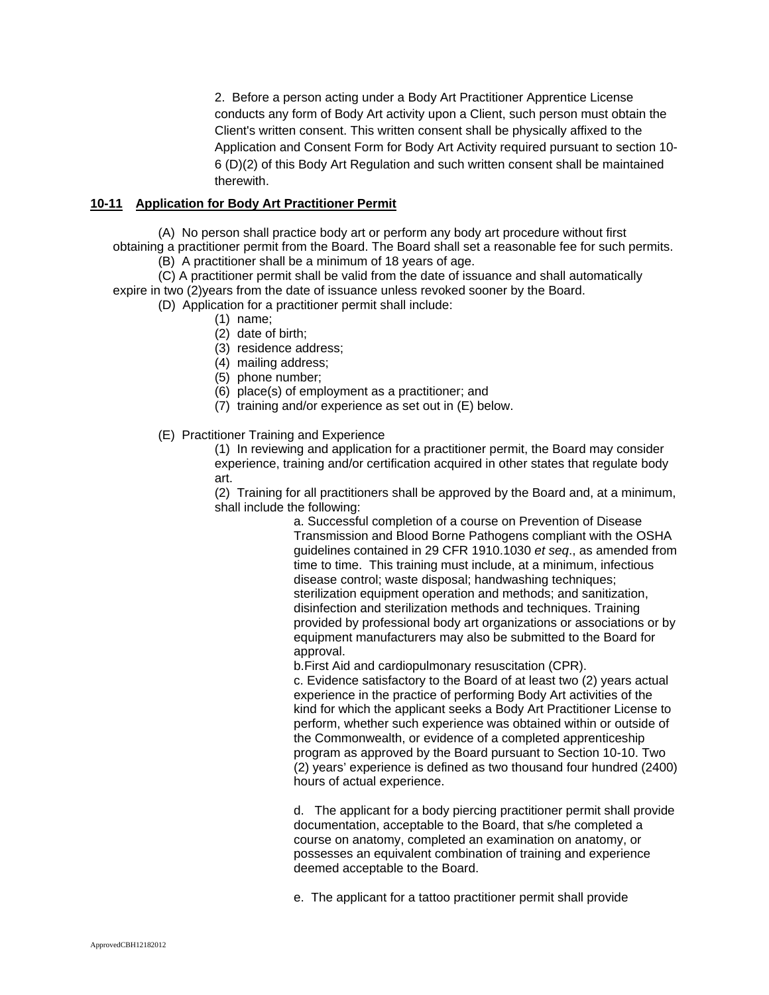2. Before a person acting under a Body Art Practitioner Apprentice License conducts any form of Body Art activity upon a Client, such person must obtain the Client's written consent. This written consent shall be physically affixed to the Application and Consent Form for Body Art Activity required pursuant to section 10- 6 (D)(2) of this Body Art Regulation and such written consent shall be maintained therewith.

# **10-11 Application for Body Art Practitioner Permit**

(A) No person shall practice body art or perform any body art procedure without first obtaining a practitioner permit from the Board. The Board shall set a reasonable fee for such permits. (B) A practitioner shall be a minimum of 18 years of age.

(C) A practitioner permit shall be valid from the date of issuance and shall automatically expire in two (2)years from the date of issuance unless revoked sooner by the Board.

(D) Application for a practitioner permit shall include:

- (1) name;
- (2) date of birth;
- (3) residence address;
- (4) mailing address;
- (5) phone number;
- (6) place(s) of employment as a practitioner; and
- (7) training and/or experience as set out in (E) below.

(E) Practitioner Training and Experience

(1) In reviewing and application for a practitioner permit, the Board may consider experience, training and/or certification acquired in other states that regulate body art.

(2) Training for all practitioners shall be approved by the Board and, at a minimum, shall include the following:

a. Successful completion of a course on Prevention of Disease Transmission and Blood Borne Pathogens compliant with the OSHA guidelines contained in 29 CFR 1910.1030 *et seq*., as amended from time to time. This training must include, at a minimum, infectious disease control; waste disposal; handwashing techniques; sterilization equipment operation and methods; and sanitization, disinfection and sterilization methods and techniques. Training provided by professional body art organizations or associations or by equipment manufacturers may also be submitted to the Board for approval.

b.First Aid and cardiopulmonary resuscitation (CPR). c. Evidence satisfactory to the Board of at least two (2) years actual

experience in the practice of performing Body Art activities of the kind for which the applicant seeks a Body Art Practitioner License to perform, whether such experience was obtained within or outside of the Commonwealth, or evidence of a completed apprenticeship program as approved by the Board pursuant to Section 10-10. Two (2) years' experience is defined as two thousand four hundred (2400) hours of actual experience.

d. The applicant for a body piercing practitioner permit shall provide documentation, acceptable to the Board, that s/he completed a course on anatomy, completed an examination on anatomy, or possesses an equivalent combination of training and experience deemed acceptable to the Board.

e. The applicant for a tattoo practitioner permit shall provide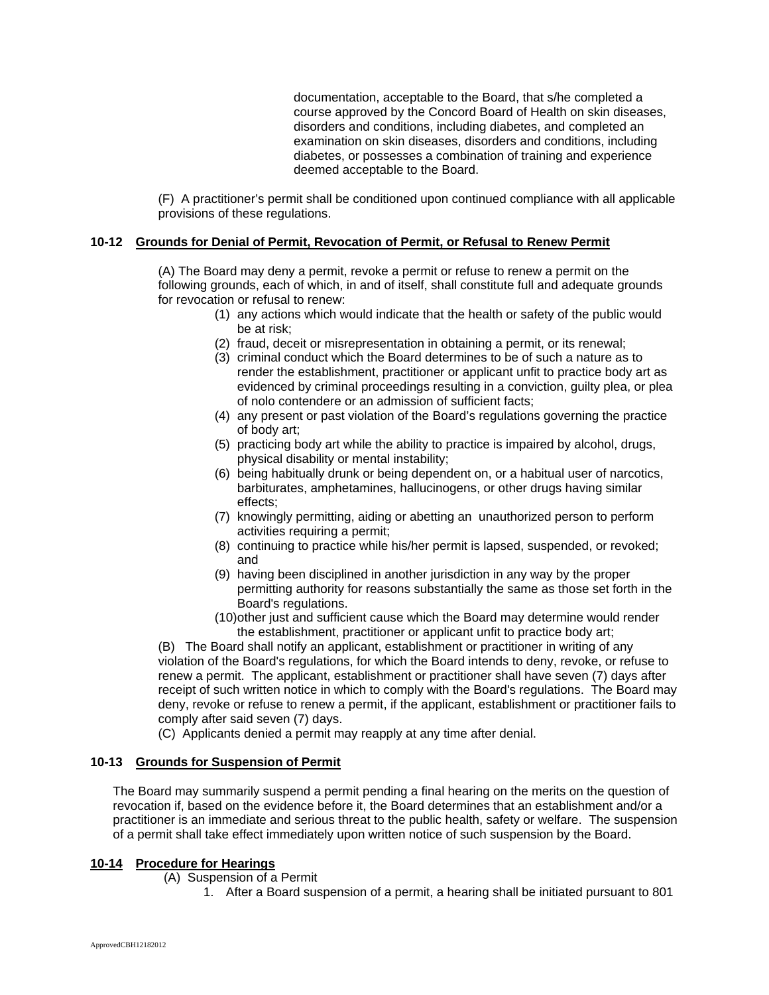documentation, acceptable to the Board, that s/he completed a course approved by the Concord Board of Health on skin diseases, disorders and conditions, including diabetes, and completed an examination on skin diseases, disorders and conditions, including diabetes, or possesses a combination of training and experience deemed acceptable to the Board.

(F) A practitioner's permit shall be conditioned upon continued compliance with all applicable provisions of these regulations.

## **10-12 Grounds for Denial of Permit, Revocation of Permit, or Refusal to Renew Permit**

(A) The Board may deny a permit, revoke a permit or refuse to renew a permit on the following grounds, each of which, in and of itself, shall constitute full and adequate grounds for revocation or refusal to renew:

- (1) any actions which would indicate that the health or safety of the public would be at risk;
- (2) fraud, deceit or misrepresentation in obtaining a permit, or its renewal;
- (3) criminal conduct which the Board determines to be of such a nature as to render the establishment, practitioner or applicant unfit to practice body art as evidenced by criminal proceedings resulting in a conviction, guilty plea, or plea of nolo contendere or an admission of sufficient facts;
- (4) any present or past violation of the Board's regulations governing the practice of body art;
- (5) practicing body art while the ability to practice is impaired by alcohol, drugs, physical disability or mental instability;
- (6) being habitually drunk or being dependent on, or a habitual user of narcotics, barbiturates, amphetamines, hallucinogens, or other drugs having similar effects;
- (7) knowingly permitting, aiding or abetting an unauthorized person to perform activities requiring a permit;
- (8) continuing to practice while his/her permit is lapsed, suspended, or revoked; and
- (9) having been disciplined in another jurisdiction in any way by the proper permitting authority for reasons substantially the same as those set forth in the Board's regulations.
- (10)other just and sufficient cause which the Board may determine would render the establishment, practitioner or applicant unfit to practice body art;

(B) The Board shall notify an applicant, establishment or practitioner in writing of any violation of the Board's regulations, for which the Board intends to deny, revoke, or refuse to renew a permit. The applicant, establishment or practitioner shall have seven (7) days after receipt of such written notice in which to comply with the Board's regulations. The Board may deny, revoke or refuse to renew a permit, if the applicant, establishment or practitioner fails to comply after said seven (7) days.

(C) Applicants denied a permit may reapply at any time after denial.

### **10-13 Grounds for Suspension of Permit**

The Board may summarily suspend a permit pending a final hearing on the merits on the question of revocation if, based on the evidence before it, the Board determines that an establishment and/or a practitioner is an immediate and serious threat to the public health, safety or welfare. The suspension of a permit shall take effect immediately upon written notice of such suspension by the Board.

### **10-14 Procedure for Hearings**

- (A) Suspension of a Permit
	- 1. After a Board suspension of a permit, a hearing shall be initiated pursuant to 801